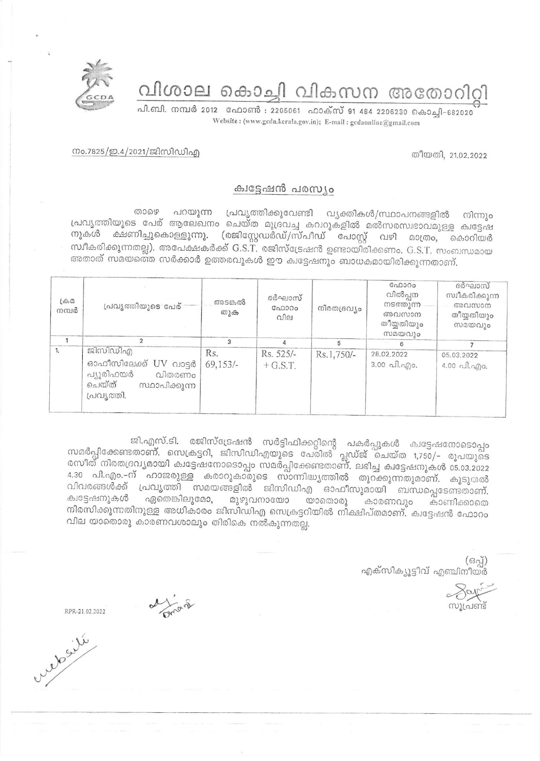വിശാല കൊച്ചി വികസന അതോറിറ്റി

പി.ബി. നമ്പർ 2012 ഫോൺ : 2205061 ഫാക്സ് 91 484 2206230 കൊച്ചി-682020 Website: (www.gcda.kerala.gov.in); E-mail: gcdaonline@gmail.com

നം.7825/ഇ.4/2021/ജിസിഡിഎ

## ക്വട്ടേഷൻ പരസ്യം

താഴെ പറയുന്ന പ്രവൃത്തിക്കുവേണ്ടി വൃക്തികൾ/സ്ഥാപനങ്ങളിൽ നിന്നും പ്രവൃത്തിയുടെ പേര് ആലേഖനം ചെയ്ത മുദ്രവച്ച കവറുകളിൽ മൽസരസ്വഭാവമുള്ള ക്വട്ടേഷ നുകൾ ക്ഷണിച്ചുകൊള്ളുന്നു. (രജിസ്റ്റേഡർഡ്/സ്പീഡ് പോസ്റ്റ് വഴി മാത്രം, കൊറിയർ സ്ഥീകരിക്കുന്നതല്ല). അപേക്ഷകർക്ക് G.S.T. രജിസ്ട്രേഷൻ ഉണ്ടായിരിക്കണം. G.S.T. സംബന്ധമായ അതാത് സമയത്തെ സർക്കാർ ഉത്തരവുകൾ ഈ ക്വട്ടേഷനും ബാധകമായിരിക്കുന്നതാണ്.

| $L\oplus \mathcal{D}$<br>നമ്പർ | പ്രവൃത്തിയുടെ പേര്                                                                               | അടങ്കൽ<br>തുക      | ദർഘാസ്<br>GAD000<br>വില | നിരതദ്രവ്യം | $G_{0}0000$<br>വിൽപ്പന<br>നടത്തുന്ന<br>അവസാന<br>തീയ്യതിയും<br>സമയവും | ദർഘാസ്<br>സ്വീകരിക്കുന്ന<br>അവസാന<br>തീയ്യതിയും<br>സമയവും |
|--------------------------------|--------------------------------------------------------------------------------------------------|--------------------|-------------------------|-------------|----------------------------------------------------------------------|-----------------------------------------------------------|
|                                |                                                                                                  | З                  |                         | 5           |                                                                      |                                                           |
| 1.                             | ജിസിഡിഎ<br>ഓഫീസിലേക്ക് UV വാട്ടർ<br>പ്യൂരിഫയർ<br>വിതരണം<br>ചെയ്ത്<br>സ്ഥാപിക്കുന്ന<br>പ്രവൃത്തി. | Rs.<br>$69,153/$ - | Rs. 525/-<br>$+$ G.S.T. | Rs.1,750/-  | 28.02.2022<br>$3.00 \text{ all.}$ and $\theta$ .                     | 05.03.2022<br>$4.00 \text{ all.}$ ngo.                    |

ജി.എസ്.ടി. രജിസ്ട്രേഷൻ സർട്ടിഫിക്കറ്റിന്റെ പകർപ്പുകൾ ക്വട്ടേഷനോടൊപ്പം സമർപ്പിക്കേണ്ടതാണ്. സെക്രട്ടറി, ജിസിഡിഎയുടെ പേരിൽ പ്ലഡ്ജ് ചെയ്ത 1,750/- രൂപയുടെ രസീത് നിരതദ്രവ്യമായി കുട്ടേഷനോടൊപ്പം സമർപ്പിക്കേണ്ടതാണ്. ലഭിച്ച കുട്ടേഷനുകൾ 05.03.2022 4.30 പി.എം.–ന് ഹാജരുള്ള കരാറുകാരുടെ സാന്നിദ്ധ്യത്തിൽ തുറക്കുന്നതുമാണ്. കൂടുതൽ വിവരങ്ങൾക്ക് പ്രവൃത്തി സമയങ്ങളിൽ ജിസിഡിഎ ഓഫീസുമായി ബന്ധപ്പെടേണ്ടതാണ്. ക്വട്ടേഷനുകൾ ഏതെങ്കിലുമോ, മുഴുവനായോ യാതൊരു കാരണവും കാണിക്കാതെ നിരസിക്കുന്നതിനുള്ള അധികാരം ജിസിഡിഎ സെക്രട്ടറിയിൽ നിക്ഷിപ്തമാണ്. ക്വട്ടേഷൻ ഫോറം വില യാതൊരു കാരണവശാലും തിരികെ നൽകുന്നതല്ല.

> $($ ക്വ്) എക്സിക്യൂട്ടീവ് എഞ്ചിനീയർ

<u>സുപ്രണ്ട്</u>

de francs

RPR-21.02.2022

wedesile



തീയതി. 21.02.2022